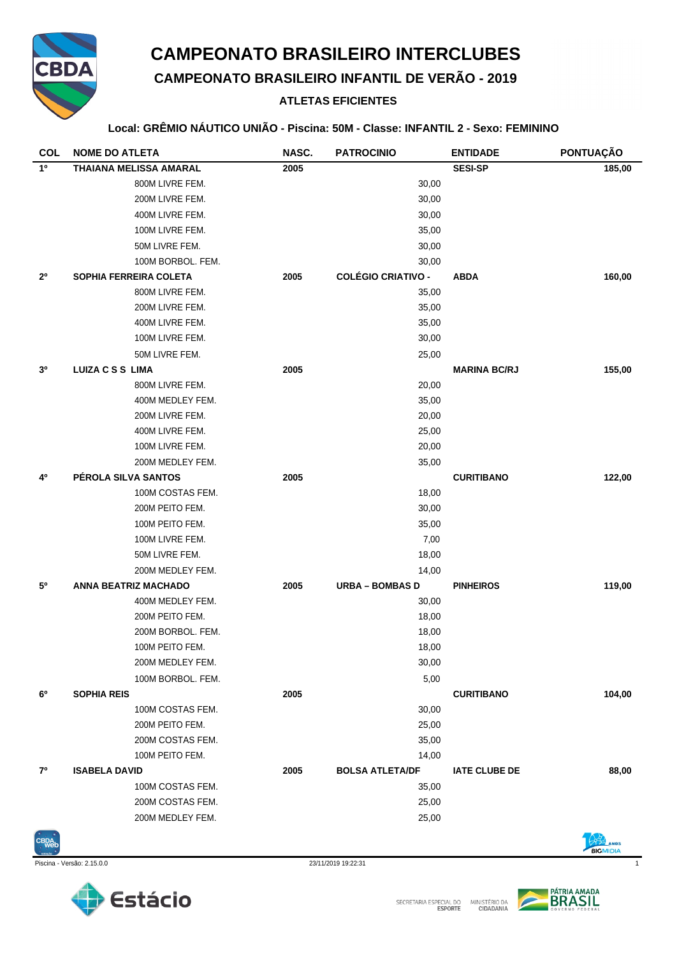

# **CAMPEONATO BRASILEIRO INTERCLUBES**

**CAMPEONATO BRASILEIRO INFANTIL DE VERÃO - 2019**

## **ATLETAS EFICIENTES**

#### **Local: GRÊMIO NÁUTICO UNIÃO - Piscina: 50M - Classe: INFANTIL 2 - Sexo: FEMININO**

| <b>COL</b>     | <b>NOME DO ATLETA</b>         | NASC. | <b>PATROCINIO</b>         | <b>ENTIDADE</b>      | PONTUAÇÃO |
|----------------|-------------------------------|-------|---------------------------|----------------------|-----------|
| 1º             | <b>THAIANA MELISSA AMARAL</b> | 2005  |                           | <b>SESI-SP</b>       | 185,00    |
|                | 800M LIVRE FEM.               |       | 30,00                     |                      |           |
|                | 200M LIVRE FEM.               |       | 30,00                     |                      |           |
|                | 400M LIVRE FEM.               |       | 30,00                     |                      |           |
|                | 100M LIVRE FEM.               |       | 35,00                     |                      |           |
|                | 50M LIVRE FEM.                |       | 30,00                     |                      |           |
|                | 100M BORBOL. FEM.             |       | 30,00                     |                      |           |
| $2^{\circ}$    | SOPHIA FERREIRA COLETA        | 2005  | <b>COLÉGIO CRIATIVO -</b> | <b>ABDA</b>          | 160,00    |
|                | 800M LIVRE FEM.               |       | 35,00                     |                      |           |
|                | 200M LIVRE FEM.               |       | 35,00                     |                      |           |
|                | 400M LIVRE FEM.               |       | 35,00                     |                      |           |
|                | 100M LIVRE FEM.               |       | 30,00                     |                      |           |
|                | 50M LIVRE FEM.                |       | 25,00                     |                      |           |
| 3 <sup>0</sup> | <b>LUIZA C S S LIMA</b>       | 2005  |                           | <b>MARINA BC/RJ</b>  | 155,00    |
|                | 800M LIVRE FEM.               |       | 20,00                     |                      |           |
|                | 400M MEDLEY FEM.              |       | 35,00                     |                      |           |
|                | 200M LIVRE FEM.               |       | 20,00                     |                      |           |
|                | 400M LIVRE FEM.               |       | 25,00                     |                      |           |
|                | 100M LIVRE FEM.               |       | 20,00                     |                      |           |
|                | 200M MEDLEY FEM.              |       | 35,00                     |                      |           |
| 4º             | PÉROLA SILVA SANTOS           | 2005  |                           | <b>CURITIBANO</b>    | 122,00    |
|                | 100M COSTAS FEM.              |       | 18,00                     |                      |           |
|                | 200M PEITO FEM.               |       | 30,00                     |                      |           |
|                | 100M PEITO FEM.               |       | 35,00                     |                      |           |
|                | 100M LIVRE FEM.               |       | 7,00                      |                      |           |
|                | 50M LIVRE FEM.                |       | 18,00                     |                      |           |
|                | 200M MEDLEY FEM.              |       | 14,00                     |                      |           |
| 50             | <b>ANNA BEATRIZ MACHADO</b>   | 2005  | <b>URBA - BOMBAS D</b>    | <b>PINHEIROS</b>     | 119,00    |
|                | 400M MEDLEY FEM.              |       | 30,00                     |                      |           |
|                | 200M PEITO FEM.               |       | 18,00                     |                      |           |
|                | 200M BORBOL, FEM.             |       | 18,00                     |                      |           |
|                | 100M PEITO FEM.               |       | 18,00                     |                      |           |
|                | 200M MEDLEY FEM.              |       | 30,00                     |                      |           |
|                | 100M BORBOL. FEM.             |       | 5,00                      |                      |           |
| 6°             | <b>SOPHIA REIS</b>            | 2005  |                           | <b>CURITIBANO</b>    | 104,00    |
|                | 100M COSTAS FEM.              |       | 30,00                     |                      |           |
|                | 200M PEITO FEM.               |       | 25,00                     |                      |           |
|                | 200M COSTAS FEM.              |       | 35,00                     |                      |           |
|                | 100M PEITO FEM.               |       | 14,00                     |                      |           |
| 70             | <b>ISABELA DAVID</b>          | 2005  | <b>BOLSA ATLETA/DF</b>    | <b>IATE CLUBE DE</b> | 88,00     |
|                | 100M COSTAS FEM.              |       | 35,00                     |                      |           |
|                | 200M COSTAS FEM.              |       | 25,00                     |                      |           |
|                | 200M MEDLEY FEM.              |       | 25,00                     |                      |           |
|                |                               |       |                           |                      |           |









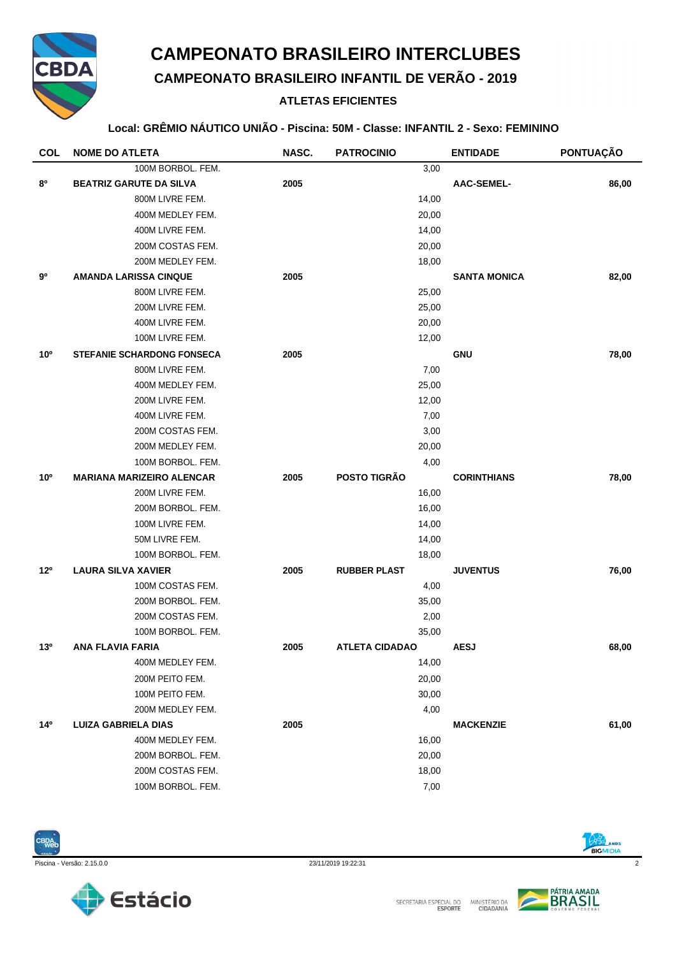

## **CAMPEONATO BRASILEIRO INTERCLUBES**

**CAMPEONATO BRASILEIRO INFANTIL DE VERÃO - 2019**

## **ATLETAS EFICIENTES**

#### **Local: GRÊMIO NÁUTICO UNIÃO - Piscina: 50M - Classe: INFANTIL 2 - Sexo: FEMININO**

| <b>COL</b>      | <b>NOME DO ATLETA</b>             | NASC. | <b>PATROCINIO</b>     | <b>ENTIDADE</b>     | PONTUAÇÃO |
|-----------------|-----------------------------------|-------|-----------------------|---------------------|-----------|
|                 | 100M BORBOL. FEM.                 |       | 3,00                  |                     |           |
| 80              | <b>BEATRIZ GARUTE DA SILVA</b>    | 2005  |                       | <b>AAC-SEMEL-</b>   | 86,00     |
|                 | 800M LIVRE FEM.                   |       | 14,00                 |                     |           |
|                 | 400M MEDLEY FEM.                  |       | 20,00                 |                     |           |
|                 | 400M LIVRE FEM.                   |       | 14,00                 |                     |           |
|                 | 200M COSTAS FEM.                  |       | 20,00                 |                     |           |
|                 | 200M MEDLEY FEM.                  |       | 18,00                 |                     |           |
| 90              | <b>AMANDA LARISSA CINQUE</b>      | 2005  |                       | <b>SANTA MONICA</b> | 82,00     |
|                 | 800M LIVRE FEM.                   |       | 25,00                 |                     |           |
|                 | 200M LIVRE FEM.                   |       | 25,00                 |                     |           |
|                 | 400M LIVRE FEM.                   |       | 20,00                 |                     |           |
|                 | 100M LIVRE FEM.                   |       | 12,00                 |                     |           |
| 10 <sup>o</sup> | <b>STEFANIE SCHARDONG FONSECA</b> | 2005  |                       | <b>GNU</b>          | 78,00     |
|                 | 800M LIVRE FEM.                   |       | 7,00                  |                     |           |
|                 | 400M MEDLEY FEM.                  |       | 25,00                 |                     |           |
|                 | 200M LIVRE FEM.                   |       | 12,00                 |                     |           |
|                 | 400M LIVRE FEM.                   |       | 7,00                  |                     |           |
|                 | 200M COSTAS FEM.                  |       | 3,00                  |                     |           |
|                 | 200M MEDLEY FEM.                  |       | 20,00                 |                     |           |
|                 | 100M BORBOL. FEM.                 |       | 4,00                  |                     |           |
| 10 <sup>o</sup> | <b>MARIANA MARIZEIRO ALENCAR</b>  | 2005  | <b>POSTO TIGRÃO</b>   | <b>CORINTHIANS</b>  | 78,00     |
|                 | 200M LIVRE FEM.                   |       | 16,00                 |                     |           |
|                 | 200M BORBOL. FEM.                 |       | 16,00                 |                     |           |
|                 | 100M LIVRE FEM.                   |       | 14,00                 |                     |           |
|                 | 50M LIVRE FEM.                    |       | 14,00                 |                     |           |
|                 | 100M BORBOL. FEM.                 |       | 18,00                 |                     |           |
| 12 <sup>0</sup> | <b>LAURA SILVA XAVIER</b>         | 2005  | <b>RUBBER PLAST</b>   | <b>JUVENTUS</b>     | 76,00     |
|                 | 100M COSTAS FEM.                  |       | 4,00                  |                     |           |
|                 | 200M BORBOL. FEM.                 |       | 35,00                 |                     |           |
|                 | 200M COSTAS FEM.                  |       | 2,00                  |                     |           |
|                 | 100M BORBOL. FEM.                 |       | 35,00                 |                     |           |
| 13 <sup>o</sup> | ANA FLAVIA FARIA                  | 2005  | <b>ATLETA CIDADAO</b> | <b>AESJ</b>         | 68,00     |
|                 | 400M MEDLEY FEM.                  |       | 14,00                 |                     |           |
|                 | 200M PEITO FEM.                   |       | 20,00                 |                     |           |
|                 | 100M PEITO FEM.                   |       | 30,00                 |                     |           |
|                 | 200M MEDLEY FEM.                  |       | 4,00                  |                     |           |
| 14 <sup>°</sup> | <b>LUIZA GABRIELA DIAS</b>        | 2005  |                       | <b>MACKENZIE</b>    | 61,00     |
|                 | 400M MEDLEY FEM.                  |       | 16,00                 |                     |           |
|                 | 200M BORBOL. FEM.                 |       | 20,00                 |                     |           |
|                 | 200M COSTAS FEM.                  |       | 18,00                 |                     |           |
|                 | 100M BORBOL. FEM.                 |       | 7,00                  |                     |           |











BIGMIDIA